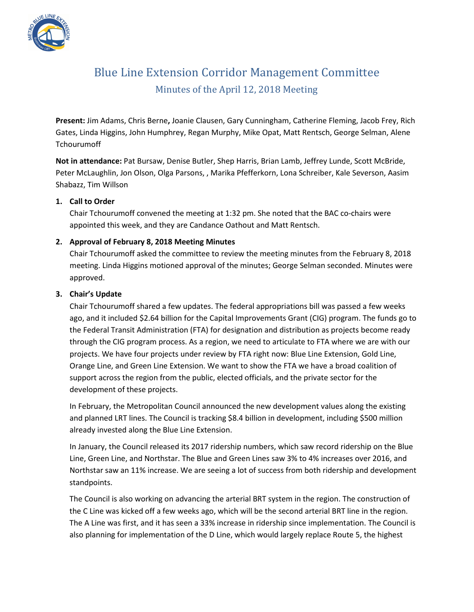

# Blue Line Extension Corridor Management Committee Minutes of the April 12, 2018 Meeting

**Present:** Jim Adams, Chris Berne**,** Joanie Clausen, Gary Cunningham, Catherine Fleming, Jacob Frey, Rich Gates, Linda Higgins, John Humphrey, Regan Murphy, Mike Opat, Matt Rentsch, George Selman, Alene **Tchourumoff** 

**Not in attendance:** Pat Bursaw, Denise Butler, Shep Harris, Brian Lamb, Jeffrey Lunde, Scott McBride, Peter McLaughlin, Jon Olson, Olga Parsons, , Marika Pfefferkorn, Lona Schreiber, Kale Severson, Aasim Shabazz, Tim Willson

## **1. Call to Order**

Chair Tchourumoff convened the meeting at 1:32 pm. She noted that the BAC co-chairs were appointed this week, and they are Candance Oathout and Matt Rentsch.

# **2. Approval of February 8, 2018 Meeting Minutes**

Chair Tchourumoff asked the committee to review the meeting minutes from the February 8, 2018 meeting. Linda Higgins motioned approval of the minutes; George Selman seconded. Minutes were approved.

#### **3. Chair's Update**

Chair Tchourumoff shared a few updates. The federal appropriations bill was passed a few weeks ago, and it included \$2.64 billion for the Capital Improvements Grant (CIG) program. The funds go to the Federal Transit Administration (FTA) for designation and distribution as projects become ready through the CIG program process. As a region, we need to articulate to FTA where we are with our projects. We have four projects under review by FTA right now: Blue Line Extension, Gold Line, Orange Line, and Green Line Extension. We want to show the FTA we have a broad coalition of support across the region from the public, elected officials, and the private sector for the development of these projects.

In February, the Metropolitan Council announced the new development values along the existing and planned LRT lines. The Council is tracking \$8.4 billion in development, including \$500 million already invested along the Blue Line Extension.

In January, the Council released its 2017 ridership numbers, which saw record ridership on the Blue Line, Green Line, and Northstar. The Blue and Green Lines saw 3% to 4% increases over 2016, and Northstar saw an 11% increase. We are seeing a lot of success from both ridership and development standpoints.

The Council is also working on advancing the arterial BRT system in the region. The construction of the C Line was kicked off a few weeks ago, which will be the second arterial BRT line in the region. The A Line was first, and it has seen a 33% increase in ridership since implementation. The Council is also planning for implementation of the D Line, which would largely replace Route 5, the highest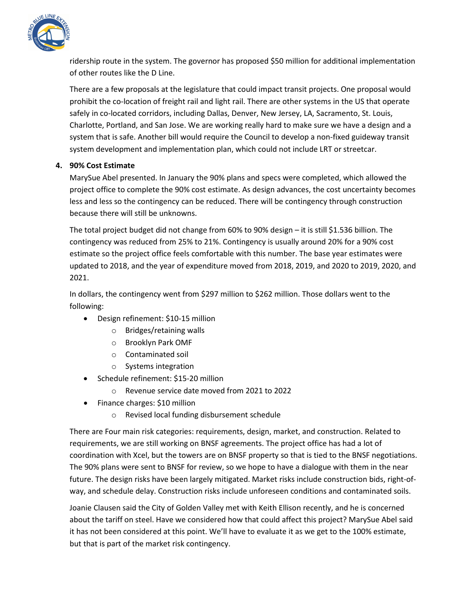

ridership route in the system. The governor has proposed \$50 million for additional implementation of other routes like the D Line.

There are a few proposals at the legislature that could impact transit projects. One proposal would prohibit the co-location of freight rail and light rail. There are other systems in the US that operate safely in co-located corridors, including Dallas, Denver, New Jersey, LA, Sacramento, St. Louis, Charlotte, Portland, and San Jose. We are working really hard to make sure we have a design and a system that is safe. Another bill would require the Council to develop a non-fixed guideway transit system development and implementation plan, which could not include LRT or streetcar.

# **4. 90% Cost Estimate**

MarySue Abel presented. In January the 90% plans and specs were completed, which allowed the project office to complete the 90% cost estimate. As design advances, the cost uncertainty becomes less and less so the contingency can be reduced. There will be contingency through construction because there will still be unknowns.

The total project budget did not change from 60% to 90% design – it is still \$1.536 billion. The contingency was reduced from 25% to 21%. Contingency is usually around 20% for a 90% cost estimate so the project office feels comfortable with this number. The base year estimates were updated to 2018, and the year of expenditure moved from 2018, 2019, and 2020 to 2019, 2020, and 2021.

In dollars, the contingency went from \$297 million to \$262 million. Those dollars went to the following:

- Design refinement: \$10-15 million
	- o Bridges/retaining walls
	- o Brooklyn Park OMF
	- o Contaminated soil
	- o Systems integration
- Schedule refinement: \$15-20 million
	- o Revenue service date moved from 2021 to 2022
- Finance charges: \$10 million
	- o Revised local funding disbursement schedule

There are Four main risk categories: requirements, design, market, and construction. Related to requirements, we are still working on BNSF agreements. The project office has had a lot of coordination with Xcel, but the towers are on BNSF property so that is tied to the BNSF negotiations. The 90% plans were sent to BNSF for review, so we hope to have a dialogue with them in the near future. The design risks have been largely mitigated. Market risks include construction bids, right-ofway, and schedule delay. Construction risks include unforeseen conditions and contaminated soils.

Joanie Clausen said the City of Golden Valley met with Keith Ellison recently, and he is concerned about the tariff on steel. Have we considered how that could affect this project? MarySue Abel said it has not been considered at this point. We'll have to evaluate it as we get to the 100% estimate, but that is part of the market risk contingency.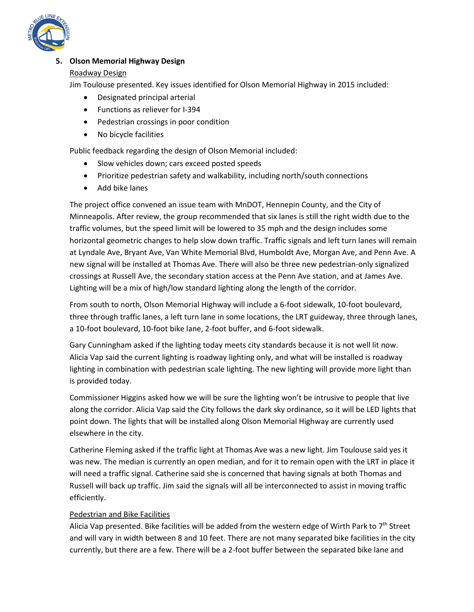

# **5. Olson Memorial Highway Design**

## Roadway Design

Jim Toulouse presented. Key issues identified for Olson Memorial Highway in 2015 included:

- Designated principal arterial
- Functions as reliever for I-394
- Pedestrian crossings in poor condition
- No bicycle facilities

Public feedback regarding the design of Olson Memorial included:

- Slow vehicles down; cars exceed posted speeds
- Prioritize pedestrian safety and walkability, including north/south connections
- Add bike lanes

The project office convened an issue team with MnDOT, Hennepin County, and the City of Minneapolis. After review, the group recommended that six lanes is still the right width due to the traffic volumes, but the speed limit will be lowered to 35 mph and the design includes some horizontal geometric changes to help slow down traffic. Traffic signals and left turn lanes will remain at Lyndale Ave, Bryant Ave, Van White Memorial Blvd, Humboldt Ave, Morgan Ave, and Penn Ave. A new signal will be installed at Thomas Ave. There will also be three new pedestrian-only signalized crossings at Russell Ave, the secondary station access at the Penn Ave station, and at James Ave. Lighting will be a mix of high/low standard lighting along the length of the corridor.

From south to north, Olson Memorial Highway will include a 6-foot sidewalk, 10-foot boulevard, three through traffic lanes, a left turn lane in some locations, the LRT guideway, three through lanes, a 10-foot boulevard, 10-foot bike lane, 2-foot buffer, and 6-foot sidewalk.

Gary Cunningham asked if the lighting today meets city standards because it is not well lit now. Alicia Vap said the current lighting is roadway lighting only, and what will be installed is roadway lighting in combination with pedestrian scale lighting. The new lighting will provide more light than is provided today.

Commissioner Higgins asked how we will be sure the lighting won't be intrusive to people that live along the corridor. Alicia Vap said the City follows the dark sky ordinance, so it will be LED lights that point down. The lights that will be installed along Olson Memorial Highway are currently used elsewhere in the city.

Catherine Fleming asked if the traffic light at Thomas Ave was a new light. Jim Toulouse said yes it was new. The median is currently an open median, and for it to remain open with the LRT in place it will need a traffic signal. Catherine said she is concerned that having signals at both Thomas and Russell will back up traffic. Jim said the signals will all be interconnected to assist in moving traffic efficiently.

# Pedestrian and Bike Facilities

Alicia Vap presented. Bike facilities will be added from the western edge of Wirth Park to  $7<sup>th</sup>$  Street and will vary in width between 8 and 10 feet. There are not many separated bike facilities in the city currently, but there are a few. There will be a 2-foot buffer between the separated bike lane and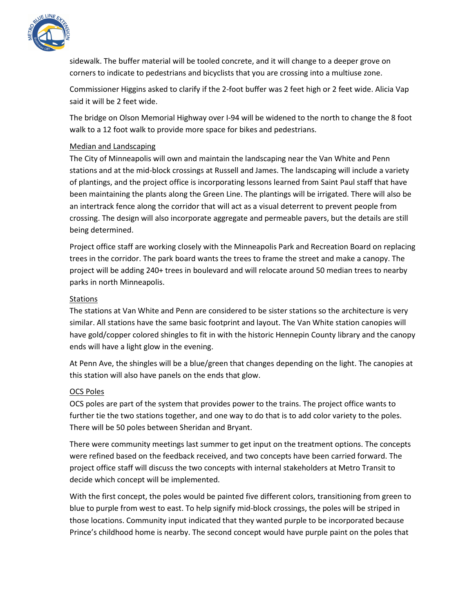

sidewalk. The buffer material will be tooled concrete, and it will change to a deeper grove on corners to indicate to pedestrians and bicyclists that you are crossing into a multiuse zone.

Commissioner Higgins asked to clarify if the 2-foot buffer was 2 feet high or 2 feet wide. Alicia Vap said it will be 2 feet wide.

The bridge on Olson Memorial Highway over I-94 will be widened to the north to change the 8 foot walk to a 12 foot walk to provide more space for bikes and pedestrians.

## Median and Landscaping

The City of Minneapolis will own and maintain the landscaping near the Van White and Penn stations and at the mid-block crossings at Russell and James. The landscaping will include a variety of plantings, and the project office is incorporating lessons learned from Saint Paul staff that have been maintaining the plants along the Green Line. The plantings will be irrigated. There will also be an intertrack fence along the corridor that will act as a visual deterrent to prevent people from crossing. The design will also incorporate aggregate and permeable pavers, but the details are still being determined.

Project office staff are working closely with the Minneapolis Park and Recreation Board on replacing trees in the corridor. The park board wants the trees to frame the street and make a canopy. The project will be adding 240+ trees in boulevard and will relocate around 50 median trees to nearby parks in north Minneapolis.

## Stations

The stations at Van White and Penn are considered to be sister stations so the architecture is very similar. All stations have the same basic footprint and layout. The Van White station canopies will have gold/copper colored shingles to fit in with the historic Hennepin County library and the canopy ends will have a light glow in the evening.

At Penn Ave, the shingles will be a blue/green that changes depending on the light. The canopies at this station will also have panels on the ends that glow.

# OCS Poles

OCS poles are part of the system that provides power to the trains. The project office wants to further tie the two stations together, and one way to do that is to add color variety to the poles. There will be 50 poles between Sheridan and Bryant.

There were community meetings last summer to get input on the treatment options. The concepts were refined based on the feedback received, and two concepts have been carried forward. The project office staff will discuss the two concepts with internal stakeholders at Metro Transit to decide which concept will be implemented.

With the first concept, the poles would be painted five different colors, transitioning from green to blue to purple from west to east. To help signify mid-block crossings, the poles will be striped in those locations. Community input indicated that they wanted purple to be incorporated because Prince's childhood home is nearby. The second concept would have purple paint on the poles that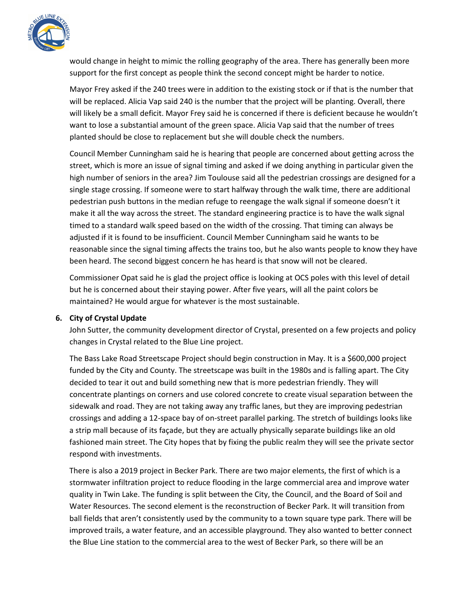

would change in height to mimic the rolling geography of the area. There has generally been more support for the first concept as people think the second concept might be harder to notice.

Mayor Frey asked if the 240 trees were in addition to the existing stock or if that is the number that will be replaced. Alicia Vap said 240 is the number that the project will be planting. Overall, there will likely be a small deficit. Mayor Frey said he is concerned if there is deficient because he wouldn't want to lose a substantial amount of the green space. Alicia Vap said that the number of trees planted should be close to replacement but she will double check the numbers.

Council Member Cunningham said he is hearing that people are concerned about getting across the street, which is more an issue of signal timing and asked if we doing anything in particular given the high number of seniors in the area? Jim Toulouse said all the pedestrian crossings are designed for a single stage crossing. If someone were to start halfway through the walk time, there are additional pedestrian push buttons in the median refuge to reengage the walk signal if someone doesn't it make it all the way across the street. The standard engineering practice is to have the walk signal timed to a standard walk speed based on the width of the crossing. That timing can always be adjusted if it is found to be insufficient. Council Member Cunningham said he wants to be reasonable since the signal timing affects the trains too, but he also wants people to know they have been heard. The second biggest concern he has heard is that snow will not be cleared.

Commissioner Opat said he is glad the project office is looking at OCS poles with this level of detail but he is concerned about their staying power. After five years, will all the paint colors be maintained? He would argue for whatever is the most sustainable.

#### **6. City of Crystal Update**

John Sutter, the community development director of Crystal, presented on a few projects and policy changes in Crystal related to the Blue Line project.

The Bass Lake Road Streetscape Project should begin construction in May. It is a \$600,000 project funded by the City and County. The streetscape was built in the 1980s and is falling apart. The City decided to tear it out and build something new that is more pedestrian friendly. They will concentrate plantings on corners and use colored concrete to create visual separation between the sidewalk and road. They are not taking away any traffic lanes, but they are improving pedestrian crossings and adding a 12-space bay of on-street parallel parking. The stretch of buildings looks like a strip mall because of its façade, but they are actually physically separate buildings like an old fashioned main street. The City hopes that by fixing the public realm they will see the private sector respond with investments.

There is also a 2019 project in Becker Park. There are two major elements, the first of which is a stormwater infiltration project to reduce flooding in the large commercial area and improve water quality in Twin Lake. The funding is split between the City, the Council, and the Board of Soil and Water Resources. The second element is the reconstruction of Becker Park. It will transition from ball fields that aren't consistently used by the community to a town square type park. There will be improved trails, a water feature, and an accessible playground. They also wanted to better connect the Blue Line station to the commercial area to the west of Becker Park, so there will be an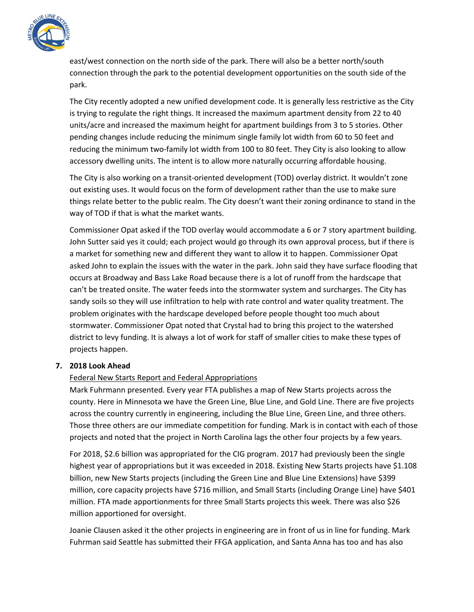

east/west connection on the north side of the park. There will also be a better north/south connection through the park to the potential development opportunities on the south side of the park.

The City recently adopted a new unified development code. It is generally less restrictive as the City is trying to regulate the right things. It increased the maximum apartment density from 22 to 40 units/acre and increased the maximum height for apartment buildings from 3 to 5 stories. Other pending changes include reducing the minimum single family lot width from 60 to 50 feet and reducing the minimum two-family lot width from 100 to 80 feet. They City is also looking to allow accessory dwelling units. The intent is to allow more naturally occurring affordable housing.

The City is also working on a transit-oriented development (TOD) overlay district. It wouldn't zone out existing uses. It would focus on the form of development rather than the use to make sure things relate better to the public realm. The City doesn't want their zoning ordinance to stand in the way of TOD if that is what the market wants.

Commissioner Opat asked if the TOD overlay would accommodate a 6 or 7 story apartment building. John Sutter said yes it could; each project would go through its own approval process, but if there is a market for something new and different they want to allow it to happen. Commissioner Opat asked John to explain the issues with the water in the park. John said they have surface flooding that occurs at Broadway and Bass Lake Road because there is a lot of runoff from the hardscape that can't be treated onsite. The water feeds into the stormwater system and surcharges. The City has sandy soils so they will use infiltration to help with rate control and water quality treatment. The problem originates with the hardscape developed before people thought too much about stormwater. Commissioner Opat noted that Crystal had to bring this project to the watershed district to levy funding. It is always a lot of work for staff of smaller cities to make these types of projects happen.

#### **7. 2018 Look Ahead**

# Federal New Starts Report and Federal Appropriations

Mark Fuhrmann presented. Every year FTA publishes a map of New Starts projects across the county. Here in Minnesota we have the Green Line, Blue Line, and Gold Line. There are five projects across the country currently in engineering, including the Blue Line, Green Line, and three others. Those three others are our immediate competition for funding. Mark is in contact with each of those projects and noted that the project in North Carolina lags the other four projects by a few years.

For 2018, \$2.6 billion was appropriated for the CIG program. 2017 had previously been the single highest year of appropriations but it was exceeded in 2018. Existing New Starts projects have \$1.108 billion, new New Starts projects (including the Green Line and Blue Line Extensions) have \$399 million, core capacity projects have \$716 million, and Small Starts (including Orange Line) have \$401 million. FTA made apportionments for three Small Starts projects this week. There was also \$26 million apportioned for oversight.

Joanie Clausen asked it the other projects in engineering are in front of us in line for funding. Mark Fuhrman said Seattle has submitted their FFGA application, and Santa Anna has too and has also